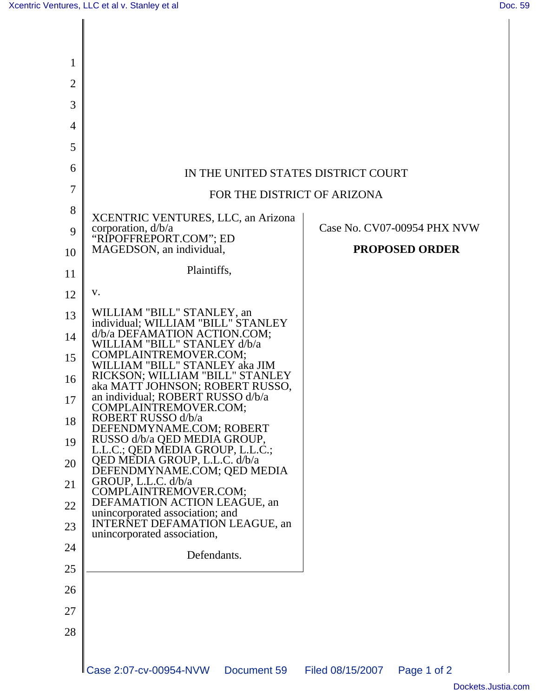$\mathsf{l}$ 

| 1              |                                                                      |                                 |
|----------------|----------------------------------------------------------------------|---------------------------------|
| $\overline{2}$ |                                                                      |                                 |
| 3              |                                                                      |                                 |
| 4              |                                                                      |                                 |
| 5              |                                                                      |                                 |
| 6              | IN THE UNITED STATES DISTRICT COURT                                  |                                 |
| 7              | FOR THE DISTRICT OF ARIZONA                                          |                                 |
| 8              | XCENTRIC VENTURES, LLC, an Arizona                                   |                                 |
| 9              | corporation, d/b/a<br>"RIPOFFREPORT.COM"; ED                         | Case No. CV07-00954 PHX NVW     |
| 10             | MAGEDSON, an individual,                                             | <b>PROPOSED ORDER</b>           |
| 11             | Plaintiffs,                                                          |                                 |
| 12             | V.                                                                   |                                 |
| 13             | WILLIAM "BILL" STANLEY, an<br>individual; WILLIAM "BILL" STANLEY     |                                 |
| 14             | d/b/a DEFAMATION ACTION.COM;<br>WILLIAM "BILL" STANLEY d/b/a         |                                 |
| 15             | COMPLAINTREMOVER.COM;<br>WILLIAM "BILL" STANLEY aka JIM              |                                 |
| 16             | RICKSON; WILLIAM "BILL" STANLEY<br>aka MATT JOHNSON; ROBERT RUSSO,   |                                 |
| 17             | an individual; ROBERT RUSSO d/b/a<br>COMPLAINTREMOVER.COM;           |                                 |
| 18             | ROBERT RUSSO d/b/a<br>DEFENDMYNAME.COM; ROBERT                       |                                 |
| 19             | RUSSO d/b/a QED MEDIA GROUP,<br>L.L.C.; QED MEDIA GROUP, L.L.C.;     |                                 |
| 20             | QED MEDIA GROUP, L.L.C. d/b/a<br>DEFENDMYNAME.COM; QED MEDIA         |                                 |
| 21             | GROUP, L.L.C. d/b/a<br>COMPLAINTREMOVER.COM;                         |                                 |
| 22             | DEFAMATION ACTION LEAGUE, an<br>unincorporated association; and      |                                 |
| 23             | <b>INTERNET DEFAMATION LEAGUE, an</b><br>unincorporated association, |                                 |
| 24             | Defendants.                                                          |                                 |
| 25             |                                                                      |                                 |
| 26             |                                                                      |                                 |
| 27             |                                                                      |                                 |
| 28             |                                                                      |                                 |
|                | LCase 2:07-cv-00954-NVW<br>Document 59                               | Filed 08/15/2007<br>Page 1 of 2 |